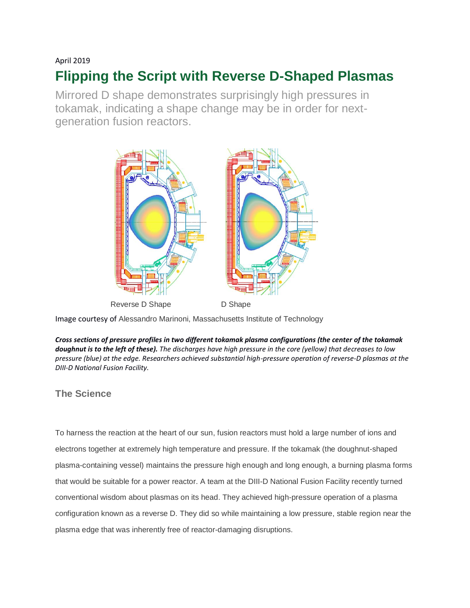#### April 2019

# **Flipping the Script with Reverse D-Shaped Plasmas**

Mirrored D shape demonstrates surprisingly high pressures in tokamak, indicating a shape change may be in order for nextgeneration fusion reactors.



Image courtesy of Alessandro Marinoni, Massachusetts Institute of Technology

*Cross sections of pressure profiles in two different tokamak plasma configurations (the center of the tokamak doughnut is to the left of these). The discharges have high pressure in the core (yellow) that decreases to low pressure (blue) at the edge. Researchers achieved substantial high-pressure operation of reverse-D plasmas at the DIII-D National Fusion Facility.*

## **The Science**

To harness the reaction at the heart of our sun, fusion reactors must hold a large number of ions and electrons together at extremely high temperature and pressure. If the tokamak (the doughnut-shaped plasma-containing vessel) maintains the pressure high enough and long enough, a burning plasma forms that would be suitable for a power reactor. A team at the DIII-D National Fusion Facility recently turned conventional wisdom about plasmas on its head. They achieved high-pressure operation of a plasma configuration known as a reverse D. They did so while maintaining a low pressure, stable region near the plasma edge that was inherently free of reactor-damaging disruptions.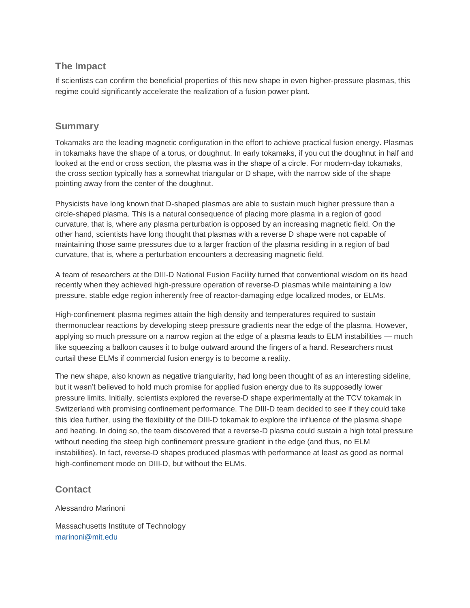#### **The Impact**

If scientists can confirm the beneficial properties of this new shape in even higher-pressure plasmas, this regime could significantly accelerate the realization of a fusion power plant.

#### **Summary**

Tokamaks are the leading magnetic configuration in the effort to achieve practical fusion energy. Plasmas in tokamaks have the shape of a torus, or doughnut. In early tokamaks, if you cut the doughnut in half and looked at the end or cross section, the plasma was in the shape of a circle. For modern-day tokamaks, the cross section typically has a somewhat triangular or D shape, with the narrow side of the shape pointing away from the center of the doughnut.

Physicists have long known that D-shaped plasmas are able to sustain much higher pressure than a circle-shaped plasma. This is a natural consequence of placing more plasma in a region of good curvature, that is, where any plasma perturbation is opposed by an increasing magnetic field. On the other hand, scientists have long thought that plasmas with a reverse D shape were not capable of maintaining those same pressures due to a larger fraction of the plasma residing in a region of bad curvature, that is, where a perturbation encounters a decreasing magnetic field.

A team of researchers at the DIII-D National Fusion Facility turned that conventional wisdom on its head recently when they achieved high-pressure operation of reverse-D plasmas while maintaining a low pressure, stable edge region inherently free of reactor-damaging edge localized modes, or ELMs.

High-confinement plasma regimes attain the high density and temperatures required to sustain thermonuclear reactions by developing steep pressure gradients near the edge of the plasma. However, applying so much pressure on a narrow region at the edge of a plasma leads to ELM instabilities — much like squeezing a balloon causes it to bulge outward around the fingers of a hand. Researchers must curtail these ELMs if commercial fusion energy is to become a reality.

The new shape, also known as negative triangularity, had long been thought of as an interesting sideline, but it wasn't believed to hold much promise for applied fusion energy due to its supposedly lower pressure limits. Initially, scientists explored the reverse-D shape experimentally at the TCV tokamak in Switzerland with promising confinement performance. The DIII-D team decided to see if they could take this idea further, using the flexibility of the DIII-D tokamak to explore the influence of the plasma shape and heating. In doing so, the team discovered that a reverse-D plasma could sustain a high total pressure without needing the steep high confinement pressure gradient in the edge (and thus, no ELM instabilities). In fact, reverse-D shapes produced plasmas with performance at least as good as normal high-confinement mode on DIII-D, but without the ELMs.

#### **Contact**

Alessandro Marinoni

Massachusetts Institute of Technology [marinoni@mit.edu](mailto:marinoni@mit.edu)